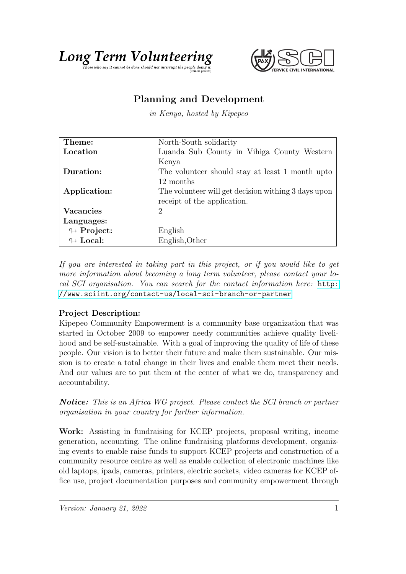



## Planning and Development

in Kenya, hosted by Kipepeo

| Theme:                     | North-South solidarity                              |
|----------------------------|-----------------------------------------------------|
| Location                   | Luanda Sub County in Vihiga County Western          |
|                            | Kenya                                               |
| Duration:                  | The volunteer should stay at least 1 month upto     |
|                            | 12 months                                           |
| Application:               | The volunteer will get decision withing 3 days upon |
|                            | receipt of the application.                         |
| <b>Vacancies</b>           | 2                                                   |
| Languages:                 |                                                     |
| $\leftrightarrow$ Project: | English                                             |
| $\leftrightarrow$ Local:   | English, Other                                      |

If you are interested in taking part in this project, or if you would like to get more information about becoming a long term volunteer, please contact your local SCI organisation. You can search for the contact information here: [http:](http://www.sciint.org/contact-us/local-sci-branch-or-partner) [//www.sciint.org/contact-us/local-sci-branch-or-partner](http://www.sciint.org/contact-us/local-sci-branch-or-partner)

## Project Description:

Kipepeo Community Empowerment is a community base organization that was started in October 2009 to empower needy communities achieve quality livelihood and be self-sustainable. With a goal of improving the quality of life of these people. Our vision is to better their future and make them sustainable. Our mission is to create a total change in their lives and enable them meet their needs. And our values are to put them at the center of what we do, transparency and accountability.

**Notice:** This is an Africa WG project. Please contact the SCI branch or partner organisation in your country for further information.

Work: Assisting in fundraising for KCEP projects, proposal writing, income generation, accounting. The online fundraising platforms development, organizing events to enable raise funds to support KCEP projects and construction of a community resource centre as well as enable collection of electronic machines like old laptops, ipads, cameras, printers, electric sockets, video cameras for KCEP office use, project documentation purposes and community empowerment through